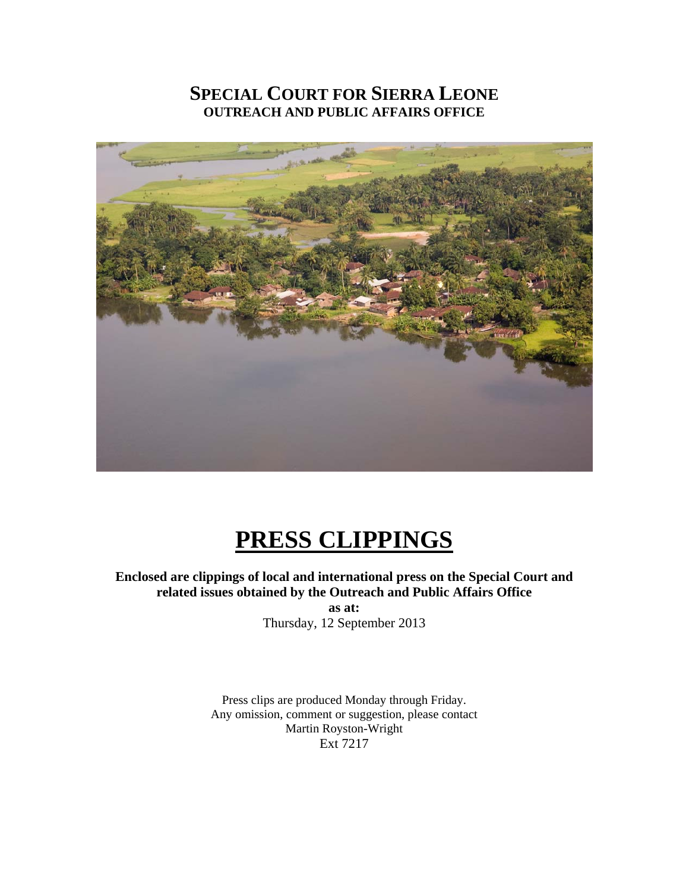### **SPECIAL COURT FOR SIERRA LEONE OUTREACH AND PUBLIC AFFAIRS OFFICE**



## **PRESS CLIPPINGS**

**Enclosed are clippings of local and international press on the Special Court and related issues obtained by the Outreach and Public Affairs Office as at:** 

Thursday, 12 September 2013

Press clips are produced Monday through Friday. Any omission, comment or suggestion, please contact Martin Royston-Wright Ext 7217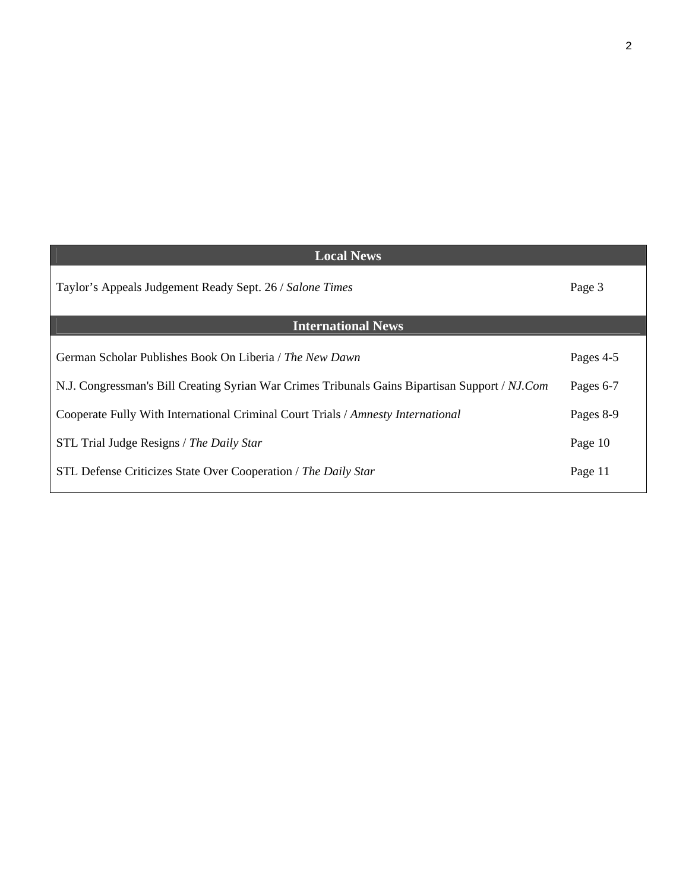| <b>Local News</b>                                                                              |           |
|------------------------------------------------------------------------------------------------|-----------|
| Taylor's Appeals Judgement Ready Sept. 26 / Salone Times                                       | Page 3    |
| <b>International News</b>                                                                      |           |
| German Scholar Publishes Book On Liberia / The New Dawn                                        | Pages 4-5 |
| N.J. Congressman's Bill Creating Syrian War Crimes Tribunals Gains Bipartisan Support / NJ.Com | Pages 6-7 |
| Cooperate Fully With International Criminal Court Trials / Amnesty International               | Pages 8-9 |
| STL Trial Judge Resigns / The Daily Star                                                       | Page 10   |
| STL Defense Criticizes State Over Cooperation / The Daily Star                                 | Page 11   |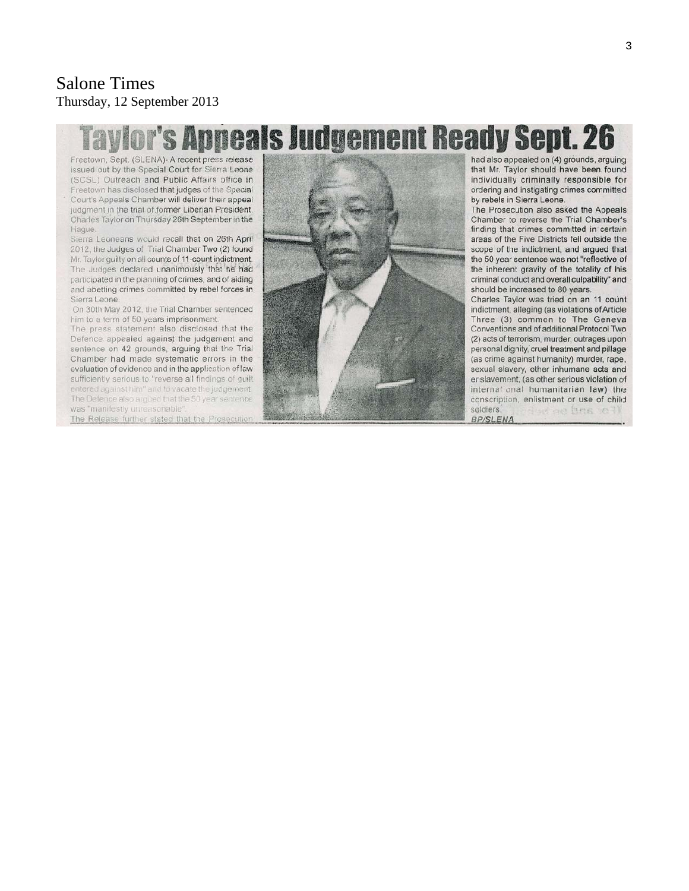#### Salone Times Thursday, 12 September 2013

# **Appeals Judgement Ready Sept. 26**

Freetown, Sept. (SLENA)- A recent press release issued out by the Special Court for Sierra Leone (SCSL) Outreach and Public Affairs office in Freetown has disclosed that judges of the Special Court's Appeals Chamber will deliver their appeal judgment in the trial of former Liberian President, Charles Taylor on Thursday 26th September in the Hague.

Sierra Leoneans would recall that on 26th April 2012, the Judges of Trial Chamber Two (2) found Mr. Taylor quilty on all counts of 11-count indictment. The Judges declared unanimously that he had participated in the planning of crimes, and of aiding and abetting crimes committed by rebel forces in Sierra Leone.

On 30th May 2012, the Trial Chamber sentenced him to a term of 50 years imprisonment.

The press statement also disclosed that the Defence appealed against the judgement and sentence on 42 grounds, arguing that the Trial Chamber had made systematic errors in the evaluation of evidence and in the application of law sufficiently serious to "reverse all findings of guilt entered against him" and to vacate the judgement. The Defence also argued that the 50 year sentence was "manifestly unreasonable"

The Release further stated that the Prosecution



had also appealed on (4) grounds, arguing that Mr. Taylor should have been found individually criminally responsible for ordering and instigating crimes committed by rebels in Sierra Leone.

The Prosecution also asked the Appeals Chamber to reverse the Trial Chamber's finding that crimes committed in certain areas of the Five Districts fell outside the scope of the indictment, and argued that the 50 year sentence was not "reflective of the inherent gravity of the totality of his criminal conduct and overall culpability" and should be increased to 80 years.

Charles Taylor was tried on an 11 count indictment, alleging (as violations of Article Three (3) common to The Geneva Conventions and of additional Protocol Two (2) acts of terrorism, murder, outrages upon personal dignity, cruel treatment and pillage (as crime against humanity) murder, rape. sexual slavery, other inhumane acts and enslavement, (as other serious violation of international humanitarian law) the conscription, enlistment or use of child ferd are bring to soldiers.

**BP/SLENA**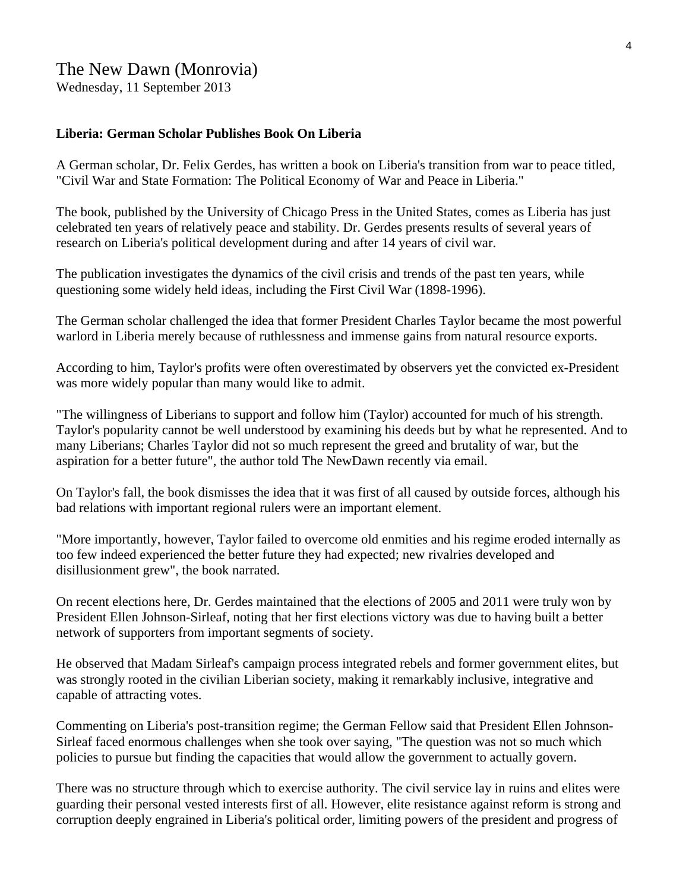#### The New Dawn (Monrovia)

Wednesday, 11 September 2013

#### **Liberia: German Scholar Publishes Book On Liberia**

A German scholar, Dr. Felix Gerdes, has written a book on Liberia's transition from war to peace titled, "Civil War and State Formation: The Political Economy of War and Peace in Liberia."

The book, published by the University of Chicago Press in the United States, comes as Liberia has just celebrated ten years of relatively peace and stability. Dr. Gerdes presents results of several years of research on Liberia's political development during and after 14 years of civil war.

The publication investigates the dynamics of the civil crisis and trends of the past ten years, while questioning some widely held ideas, including the First Civil War (1898-1996).

The German scholar challenged the idea that former President Charles Taylor became the most powerful warlord in Liberia merely because of ruthlessness and immense gains from natural resource exports.

According to him, Taylor's profits were often overestimated by observers yet the convicted ex-President was more widely popular than many would like to admit.

"The willingness of Liberians to support and follow him (Taylor) accounted for much of his strength. Taylor's popularity cannot be well understood by examining his deeds but by what he represented. And to many Liberians; Charles Taylor did not so much represent the greed and brutality of war, but the aspiration for a better future", the author told The NewDawn recently via email.

On Taylor's fall, the book dismisses the idea that it was first of all caused by outside forces, although his bad relations with important regional rulers were an important element.

"More importantly, however, Taylor failed to overcome old enmities and his regime eroded internally as too few indeed experienced the better future they had expected; new rivalries developed and disillusionment grew", the book narrated.

On recent elections here, Dr. Gerdes maintained that the elections of 2005 and 2011 were truly won by President Ellen Johnson-Sirleaf, noting that her first elections victory was due to having built a better network of supporters from important segments of society.

He observed that Madam Sirleaf's campaign process integrated rebels and former government elites, but was strongly rooted in the civilian Liberian society, making it remarkably inclusive, integrative and capable of attracting votes.

Commenting on Liberia's post-transition regime; the German Fellow said that President Ellen Johnson-Sirleaf faced enormous challenges when she took over saying, "The question was not so much which policies to pursue but finding the capacities that would allow the government to actually govern.

There was no structure through which to exercise authority. The civil service lay in ruins and elites were guarding their personal vested interests first of all. However, elite resistance against reform is strong and corruption deeply engrained in Liberia's political order, limiting powers of the president and progress of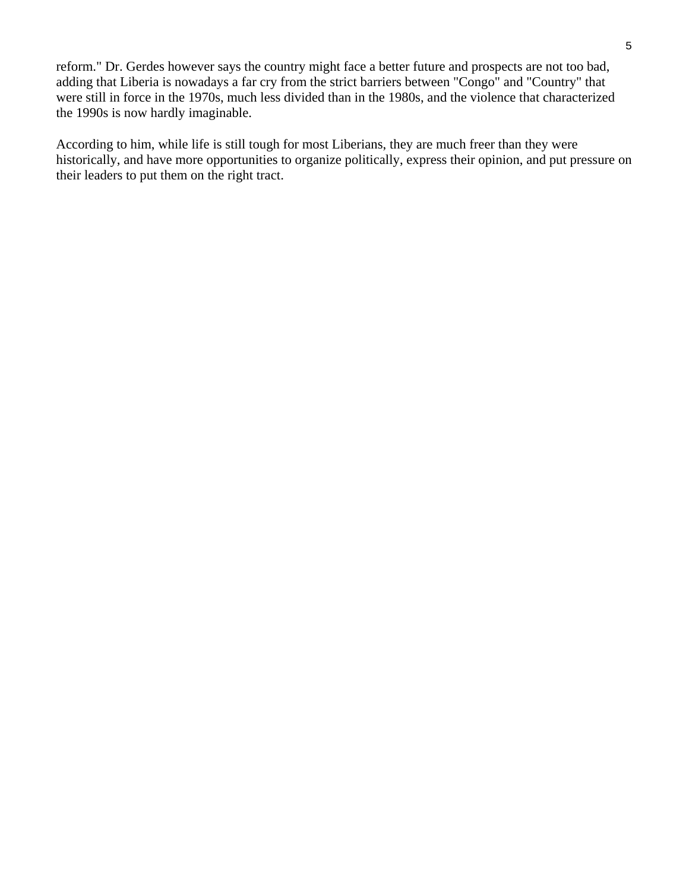reform." Dr. Gerdes however says the country might face a better future and prospects are not too bad, adding that Liberia is nowadays a far cry from the strict barriers between "Congo" and "Country" that were still in force in the 1970s, much less divided than in the 1980s, and the violence that characterized the 1990s is now hardly imaginable.

According to him, while life is still tough for most Liberians, they are much freer than they were historically, and have more opportunities to organize politically, express their opinion, and put pressure on their leaders to put them on the right tract.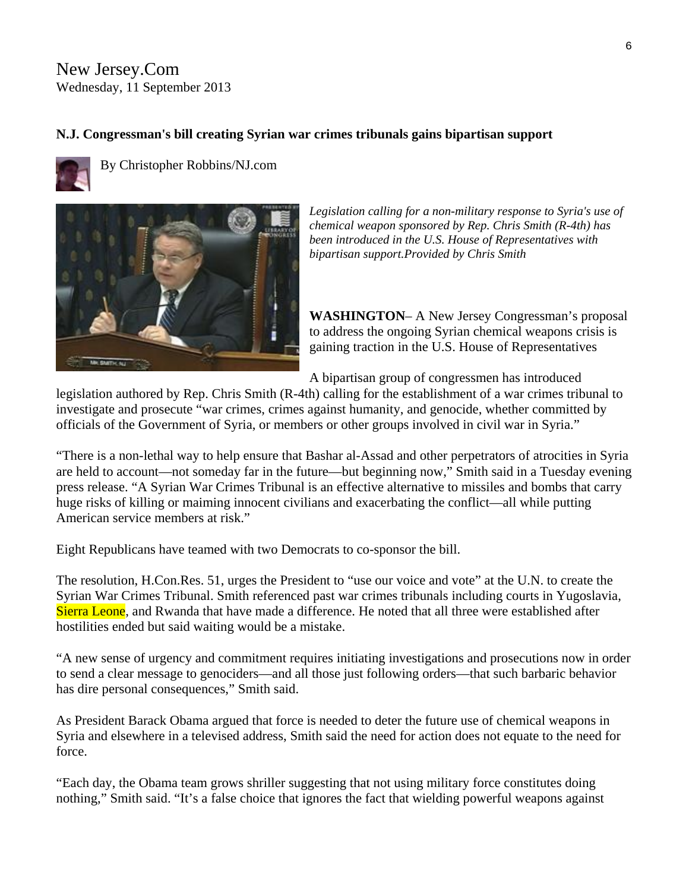New Jersey.Com Wednesday, 11 September 2013

#### **N.J. Congressman's bill creating Syrian war crimes tribunals gains bipartisan support**



By [Christopher Robbins/NJ.com](http://connect.nj.com/user/chrobbin/posts.html) 



*Legislation calling for a non-military response to Syria's use of chemical weapon sponsored by Rep. Chris Smith (R-4th) has been introduced in the U.S. House of Representatives with bipartisan support.Provided by Chris Smith* 

**WASHINGTON**– A New Jersey Congressman's proposal to address the ongoing Syrian chemical weapons crisis is gaining traction in the U.S. House of Representatives

A bipartisan group of congressmen has introduced

legislation authored by Rep. Chris Smith (R-4th) calling for the establishment of a war crimes tribunal to investigate and prosecute "war crimes, crimes against humanity, and genocide, whether committed by officials of the Government of Syria, or members or other groups involved in civil war in Syria."

"There is a non-lethal way to help ensure that Bashar al-Assad and other perpetrators of atrocities in Syria are held to account—not someday far in the future—but beginning now," Smith said in a Tuesday evening press release. "A Syrian War Crimes Tribunal is an effective alternative to missiles and bombs that carry huge risks of killing or maiming innocent civilians and exacerbating the conflict—all while putting American service members at risk."

Eight Republicans have teamed with two Democrats to co-sponsor the bill.

The resolution, H.Con.Res. 51, urges the President to "use our voice and vote" at the U.N. to create the Syrian War Crimes Tribunal. Smith referenced past war crimes tribunals including courts in Yugoslavia, Sierra Leone, and Rwanda that have made a difference. He noted that all three were established after hostilities ended but said waiting would be a mistake.

"A new sense of urgency and commitment requires initiating investigations and prosecutions now in order to send a clear message to genociders—and all those just following orders—that such barbaric behavior has dire personal consequences," Smith said.

As President Barack Obama argued that force is needed to deter the future use of chemical weapons in Syria and elsewhere in a televised address, Smith said the need for action does not equate to the need for force.

"Each day, the Obama team grows shriller suggesting that not using military force constitutes doing nothing," Smith said. "It's a false choice that ignores the fact that wielding powerful weapons against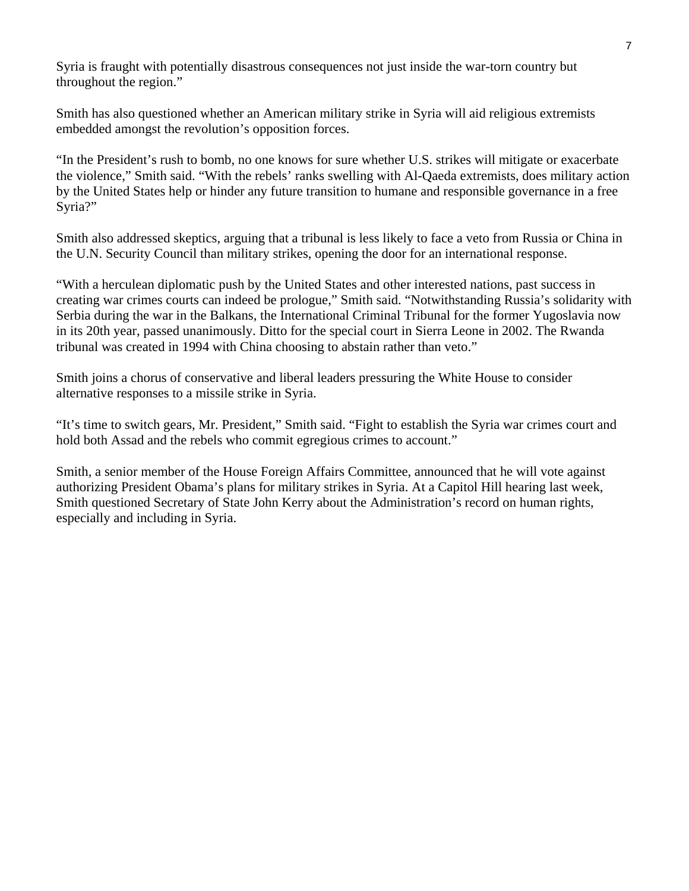Syria is fraught with potentially disastrous consequences not just inside the war-torn country but throughout the region."

Smith has also questioned whether an American military strike in Syria will aid religious extremists embedded amongst the revolution's opposition forces.

"In the President's rush to bomb, no one knows for sure whether U.S. strikes will mitigate or exacerbate the violence," Smith said. "With the rebels' ranks swelling with Al-Qaeda extremists, does military action by the United States help or hinder any future transition to humane and responsible governance in a free Syria?"

Smith also addressed skeptics, arguing that a tribunal is less likely to face a veto from Russia or China in the U.N. Security Council than military strikes, opening the door for an international response.

"With a herculean diplomatic push by the United States and other interested nations, past success in creating war crimes courts can indeed be prologue," Smith said. "Notwithstanding Russia's solidarity with Serbia during the war in the Balkans, the International Criminal Tribunal for the former Yugoslavia now in its 20th year, passed unanimously. Ditto for the special court in Sierra Leone in 2002. The Rwanda tribunal was created in 1994 with China choosing to abstain rather than veto."

Smith joins a chorus of conservative and liberal leaders pressuring the White House to consider alternative responses to a missile strike in Syria.

"It's time to switch gears, Mr. President," Smith said. "Fight to establish the Syria war crimes court and hold both Assad and the rebels who commit egregious crimes to account."

Smith, a senior member of the House Foreign Affairs Committee, [announced that he will vote against](http://www.nj.com/monmouth/index.ssf/2013/09/smith_proposes_syrian_tribunal_as_an_alternative_to_us_strikes.html) authorizing President Obama's plans for military strikes in Syria. At a Capitol Hill hearing last week, Smith questioned Secretary of State John Kerry about the Administration's record on human rights, especially and including in Syria.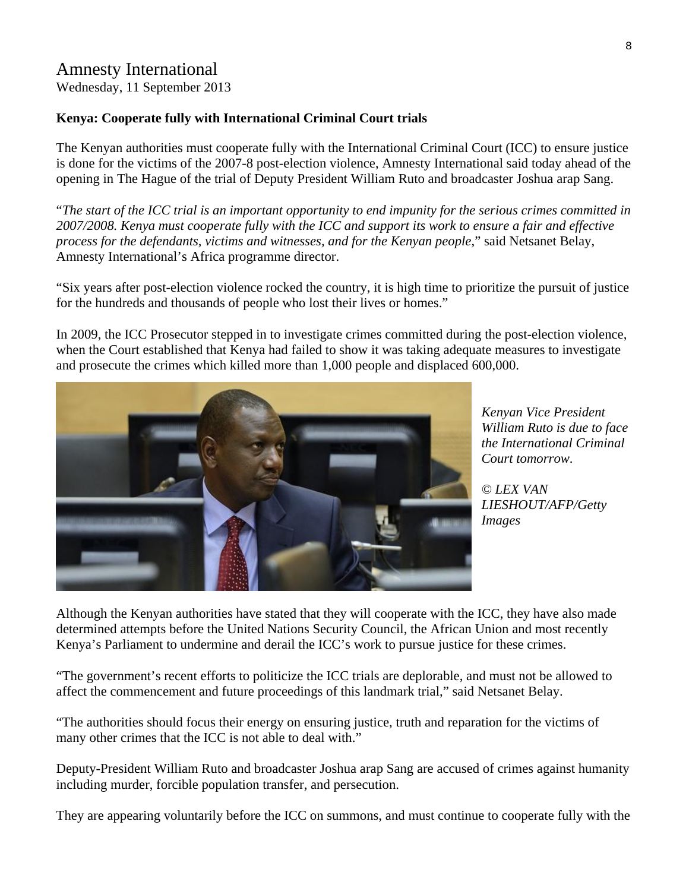#### Amnesty International

Wednesday, 11 September 2013

#### **Kenya: Cooperate fully with International Criminal Court trials**

The Kenyan authorities must cooperate fully with the International Criminal Court (ICC) to ensure justice is done for the victims of the 2007-8 post-election violence, Amnesty International said today ahead of the opening in The Hague of the trial of Deputy President William Ruto and broadcaster Joshua arap Sang.

"*The start of the ICC trial is an important opportunity to end impunity for the serious crimes committed in 2007/2008. Kenya must cooperate fully with the ICC and support its work to ensure a fair and effective process for the defendants, victims and witnesses, and for the Kenyan people*," said Netsanet Belay, Amnesty International's Africa programme director.

"Six years after post-election violence rocked the country, it is high time to prioritize the pursuit of justice for the hundreds and thousands of people who lost their lives or homes."

In 2009, the ICC Prosecutor stepped in to investigate crimes committed during the post-election violence, when the Court established that Kenya had failed to show it was taking adequate measures to investigate and prosecute the crimes which killed more than 1,000 people and displaced 600,000.



*Kenyan Vice President William Ruto is due to face the International Criminal Court tomorrow*.

*© LEX VAN LIESHOUT/AFP/Getty Images* 

Although the Kenyan authorities have stated that they will cooperate with the ICC, they have also made determined attempts before the United Nations Security Council, the African Union and most recently Kenya's Parliament to undermine and derail the ICC's work to pursue justice for these crimes.

"The government's recent efforts to politicize the ICC trials are deplorable, and must not be allowed to affect the commencement and future proceedings of this landmark trial," said Netsanet Belay.

"The authorities should focus their energy on ensuring justice, truth and reparation for the victims of many other crimes that the ICC is not able to deal with."

Deputy-President William Ruto and broadcaster Joshua arap Sang are accused of crimes against humanity including murder, forcible population transfer, and persecution.

They are appearing voluntarily before the ICC on summons, and must continue to cooperate fully with the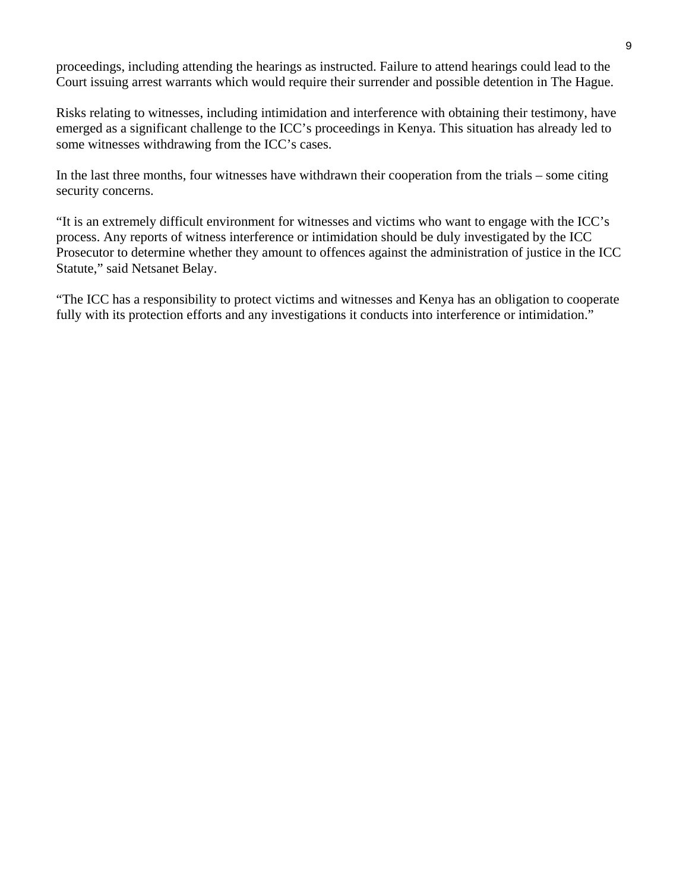proceedings, including attending the hearings as instructed. Failure to attend hearings could lead to the Court issuing arrest warrants which would require their surrender and possible detention in The Hague.

Risks relating to witnesses, including intimidation and interference with obtaining their testimony, have emerged as a significant challenge to the ICC's proceedings in Kenya. This situation has already led to some witnesses withdrawing from the ICC's cases.

In the last three months, four witnesses have withdrawn their cooperation from the trials – some citing security concerns.

"It is an extremely difficult environment for witnesses and victims who want to engage with the ICC's process. Any reports of witness interference or intimidation should be duly investigated by the ICC Prosecutor to determine whether they amount to offences against the administration of justice in the ICC Statute," said Netsanet Belay.

"The ICC has a responsibility to protect victims and witnesses and Kenya has an obligation to cooperate fully with its protection efforts and any investigations it conducts into interference or intimidation."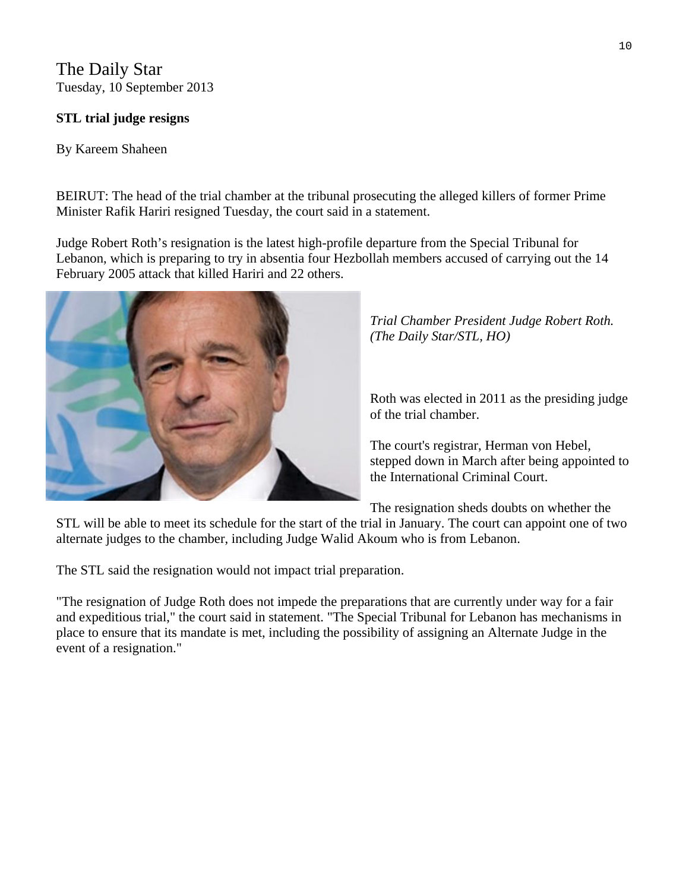The Daily Star Tuesday, 10 September 2013

#### **STL trial judge resigns**

#### By Kareem Shaheen

BEIRUT: The head of the trial chamber at the tribunal prosecuting the alleged killers of former Prime Minister [Rafik Hariri](javascript:void(0)) resigned Tuesday, the court said in a statement.

Judge Robert Roth's resignation is the latest high-profile departure from the [Special Tribunal](javascript:void(0)) for Lebanon, which is preparing to try in absentia four [Hezbollah](javascript:void(0)) members accused of carrying out the 14 February 2005 attack that killed Hariri and 22 others.



*Trial Chamber President Judge Robert Roth. (The Daily Star/STL, HO)* 

Roth was elected in 2011 as the presiding judge of the trial chamber.

The court's registrar, Herman von Hebel, stepped down in March after being appointed to the International Criminal Court.

The resignation sheds doubts on whether the

STL will be able to meet its schedule for the start of the trial in January. The court can appoint one of two alternate judges to the chamber, including Judge [Walid Akoum](javascript:void(0)) who is from Lebanon.

The STL said the resignation would not impact trial preparation.

"The resignation of Judge Roth does not impede the preparations that are currently under way for a fair and expeditious trial," the court said in statement. "The Special Tribunal for [Lebanon](javascript:void(0)) has mechanisms in place to ensure that its mandate is met, including the possibility of assigning an Alternate Judge in the event of a resignation."